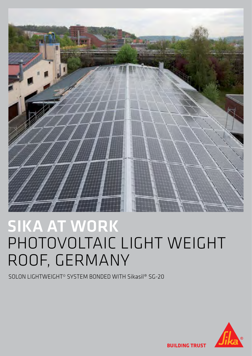

# SIKA AT WORK PHOTOVOLTAIC LIGHT WEIGHT ROOF, GERMANY

SOLON LIGHTWEIGHT© SYSTEM BONDED WITH Sikasil® SG-20



**BUILDING TRUST**